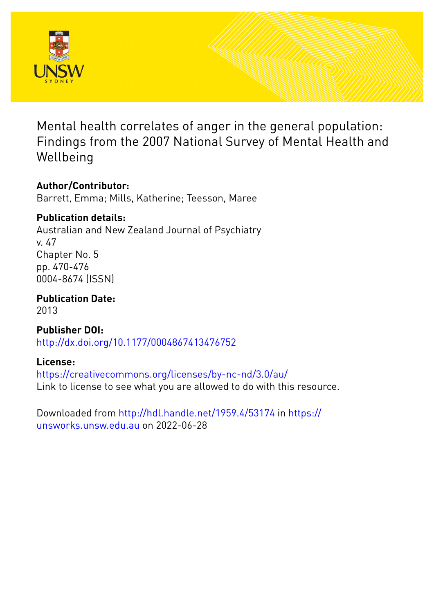

Mental health correlates of anger in the general population: Findings from the 2007 National Survey of Mental Health and Wellbeing

# **Author/Contributor:**

Barrett, Emma; Mills, Katherine; Teesson, Maree

# **Publication details:**

Australian and New Zealand Journal of Psychiatry v. 47 Chapter No. 5 pp. 470-476 0004-8674 (ISSN)

**Publication Date:** 2013

**Publisher DOI:** [http://dx.doi.org/10.1177/0004867413476752](http://dx.doi.org/http://dx.doi.org/10.1177/0004867413476752)

# **License:**

<https://creativecommons.org/licenses/by-nc-nd/3.0/au/> Link to license to see what you are allowed to do with this resource.

Downloaded from <http://hdl.handle.net/1959.4/53174> in [https://](https://unsworks.unsw.edu.au) [unsworks.unsw.edu.au](https://unsworks.unsw.edu.au) on 2022-06-28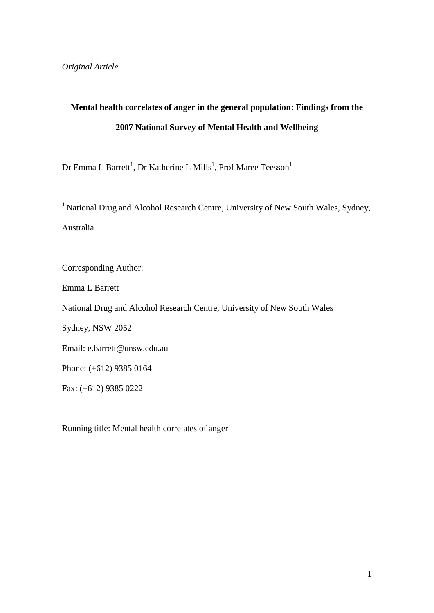# **Mental health correlates of anger in the general population: Findings from the 2007 National Survey of Mental Health and Wellbeing**

Dr Emma L Barrett<sup>1</sup>, Dr Katherine L Mills<sup>1</sup>, Prof Maree Teesson<sup>1</sup>

<sup>1</sup> National Drug and Alcohol Research Centre, University of New South Wales, Sydney, Australia

Corresponding Author: Emma L Barrett National Drug and Alcohol Research Centre, University of New South Wales Sydney, NSW 2052 Email: e.barrett@unsw.edu.au Phone: (+612) 9385 0164 Fax: (+612) 9385 0222

Running title: Mental health correlates of anger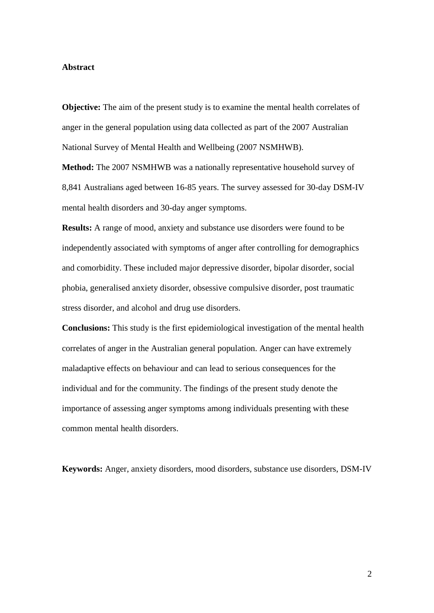# **Abstract**

**Objective:** The aim of the present study is to examine the mental health correlates of anger in the general population using data collected as part of the 2007 Australian National Survey of Mental Health and Wellbeing (2007 NSMHWB).

**Method:** The 2007 NSMHWB was a nationally representative household survey of 8,841 Australians aged between 16-85 years. The survey assessed for 30-day DSM-IV mental health disorders and 30-day anger symptoms.

**Results:** A range of mood, anxiety and substance use disorders were found to be independently associated with symptoms of anger after controlling for demographics and comorbidity. These included major depressive disorder, bipolar disorder, social phobia, generalised anxiety disorder, obsessive compulsive disorder, post traumatic stress disorder, and alcohol and drug use disorders.

**Conclusions:** This study is the first epidemiological investigation of the mental health correlates of anger in the Australian general population. Anger can have extremely maladaptive effects on behaviour and can lead to serious consequences for the individual and for the community. The findings of the present study denote the importance of assessing anger symptoms among individuals presenting with these common mental health disorders.

**Keywords:** Anger, anxiety disorders, mood disorders, substance use disorders, DSM-IV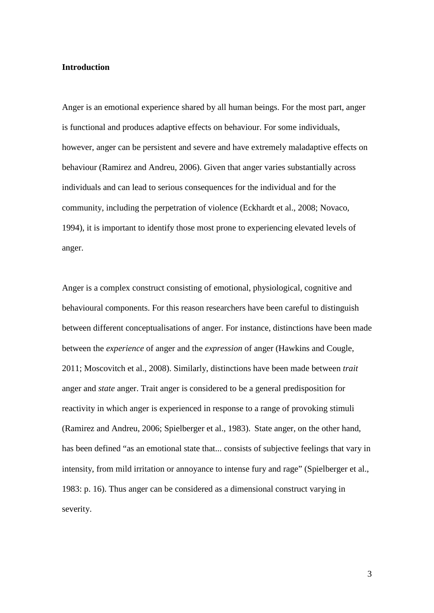# **Introduction**

Anger is an emotional experience shared by all human beings. For the most part, anger is functional and produces adaptive effects on behaviour. For some individuals, however, anger can be persistent and severe and have extremely maladaptive effects on behaviour (Ramirez and Andreu, 2006). Given that anger varies substantially across individuals and can lead to serious consequences for the individual and for the community, including the perpetration of violence (Eckhardt et al., 2008; Novaco, 1994), it is important to identify those most prone to experiencing elevated levels of anger.

Anger is a complex construct consisting of emotional, physiological, cognitive and behavioural components. For this reason researchers have been careful to distinguish between different conceptualisations of anger. For instance, distinctions have been made between the *experience* of anger and the *expression* of anger (Hawkins and Cougle, 2011; Moscovitch et al., 2008). Similarly, distinctions have been made between *trait*  anger and *state* anger. Trait anger is considered to be a general predisposition for reactivity in which anger is experienced in response to a range of provoking stimuli (Ramirez and Andreu, 2006; Spielberger et al., 1983). State anger, on the other hand, has been defined "as an emotional state that... consists of subjective feelings that vary in intensity, from mild irritation or annoyance to intense fury and rage" (Spielberger et al., 1983: p. 16). Thus anger can be considered as a dimensional construct varying in severity.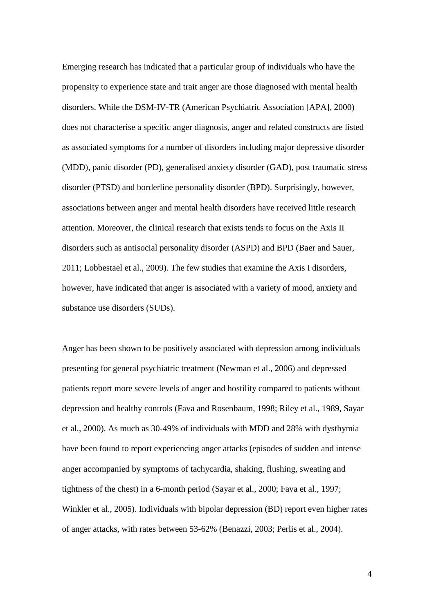Emerging research has indicated that a particular group of individuals who have the propensity to experience state and trait anger are those diagnosed with mental health disorders. While the DSM-IV-TR (American Psychiatric Association [APA], 2000) does not characterise a specific anger diagnosis, anger and related constructs are listed as associated symptoms for a number of disorders including major depressive disorder (MDD), panic disorder (PD), generalised anxiety disorder (GAD), post traumatic stress disorder (PTSD) and borderline personality disorder (BPD). Surprisingly, however, associations between anger and mental health disorders have received little research attention. Moreover, the clinical research that exists tends to focus on the Axis II disorders such as antisocial personality disorder (ASPD) and BPD (Baer and Sauer, 2011; Lobbestael et al., 2009). The few studies that examine the Axis I disorders, however, have indicated that anger is associated with a variety of mood, anxiety and substance use disorders (SUDs).

Anger has been shown to be positively associated with depression among individuals presenting for general psychiatric treatment (Newman et al., 2006) and depressed patients report more severe levels of anger and hostility compared to patients without depression and healthy controls (Fava and Rosenbaum, 1998; Riley et al., 1989, Sayar et al., 2000). As much as 30-49% of individuals with MDD and 28% with dysthymia have been found to report experiencing anger attacks (episodes of sudden and intense anger accompanied by symptoms of tachycardia, shaking, flushing, sweating and tightness of the chest) in a 6-month period (Sayar et al., 2000; Fava et al., 1997; Winkler et al., 2005). Individuals with bipolar depression (BD) report even higher rates of anger attacks, with rates between 53-62% (Benazzi, 2003; Perlis et al., 2004).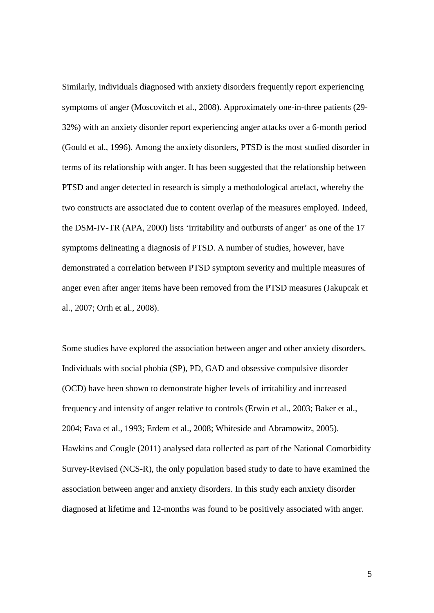Similarly, individuals diagnosed with anxiety disorders frequently report experiencing symptoms of anger (Moscovitch et al., 2008). Approximately one-in-three patients (29- 32%) with an anxiety disorder report experiencing anger attacks over a 6-month period (Gould et al., 1996). Among the anxiety disorders, PTSD is the most studied disorder in terms of its relationship with anger. It has been suggested that the relationship between PTSD and anger detected in research is simply a methodological artefact, whereby the two constructs are associated due to content overlap of the measures employed. Indeed, the DSM-IV-TR (APA, 2000) lists 'irritability and outbursts of anger' as one of the 17 symptoms delineating a diagnosis of PTSD. A number of studies, however, have demonstrated a correlation between PTSD symptom severity and multiple measures of anger even after anger items have been removed from the PTSD measures (Jakupcak et al., 2007; Orth et al., 2008).

Some studies have explored the association between anger and other anxiety disorders. Individuals with social phobia (SP), PD, GAD and obsessive compulsive disorder (OCD) have been shown to demonstrate higher levels of irritability and increased frequency and intensity of anger relative to controls (Erwin et al., 2003; Baker et al., 2004; Fava et al., 1993; Erdem et al., 2008; Whiteside and Abramowitz, 2005). Hawkins and Cougle (2011) analysed data collected as part of the National Comorbidity Survey-Revised (NCS-R), the only population based study to date to have examined the association between anger and anxiety disorders. In this study each anxiety disorder diagnosed at lifetime and 12-months was found to be positively associated with anger.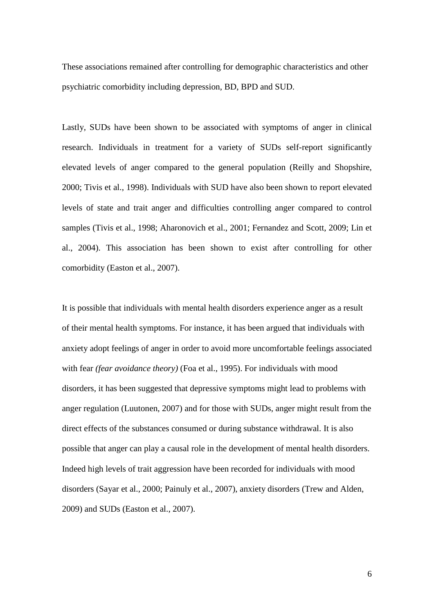These associations remained after controlling for demographic characteristics and other psychiatric comorbidity including depression, BD, BPD and SUD.

Lastly, SUDs have been shown to be associated with symptoms of anger in clinical research. Individuals in treatment for a variety of SUDs self-report significantly elevated levels of anger compared to the general population (Reilly and Shopshire, 2000; Tivis et al., 1998). Individuals with SUD have also been shown to report elevated levels of state and trait anger and difficulties controlling anger compared to control samples (Tivis et al., 1998; Aharonovich et al., 2001; Fernandez and Scott, 2009; Lin et al., 2004). This association has been shown to exist after controlling for other comorbidity (Easton et al., 2007).

It is possible that individuals with mental health disorders experience anger as a result of their mental health symptoms. For instance, it has been argued that individuals with anxiety adopt feelings of anger in order to avoid more uncomfortable feelings associated with fear *(fear avoidance theory)* (Foa et al., 1995). For individuals with mood disorders, it has been suggested that depressive symptoms might lead to problems with anger regulation (Luutonen, 2007) and for those with SUDs, anger might result from the direct effects of the substances consumed or during substance withdrawal. It is also possible that anger can play a causal role in the development of mental health disorders. Indeed high levels of trait aggression have been recorded for individuals with mood disorders (Sayar et al., 2000; Painuly et al., 2007), anxiety disorders (Trew and Alden, 2009) and SUDs (Easton et al., 2007).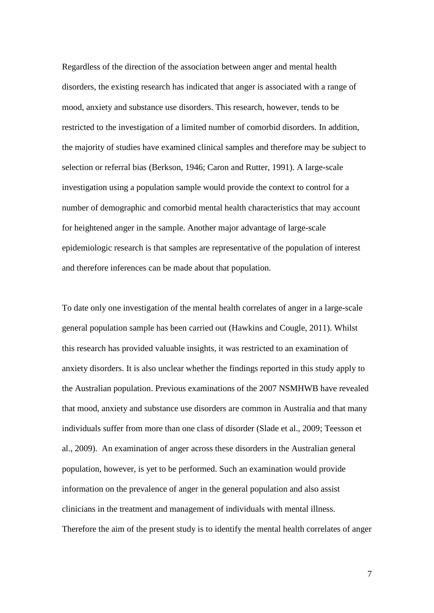Regardless of the direction of the association between anger and mental health disorders, the existing research has indicated that anger is associated with a range of mood, anxiety and substance use disorders. This research, however, tends to be restricted to the investigation of a limited number of comorbid disorders. In addition, the majority of studies have examined clinical samples and therefore may be subject to selection or referral bias (Berkson, 1946; Caron and Rutter, 1991). A large-scale investigation using a population sample would provide the context to control for a number of demographic and comorbid mental health characteristics that may account for heightened anger in the sample. Another major advantage of large-scale epidemiologic research is that samples are representative of the population of interest and therefore inferences can be made about that population.

To date only one investigation of the mental health correlates of anger in a large-scale general population sample has been carried out (Hawkins and Cougle, 2011). Whilst this research has provided valuable insights, it was restricted to an examination of anxiety disorders. It is also unclear whether the findings reported in this study apply to the Australian population. Previous examinations of the 2007 NSMHWB have revealed that mood, anxiety and substance use disorders are common in Australia and that many individuals suffer from more than one class of disorder (Slade et al., 2009; Teesson et al., 2009). An examination of anger across these disorders in the Australian general population, however, is yet to be performed. Such an examination would provide information on the prevalence of anger in the general population and also assist clinicians in the treatment and management of individuals with mental illness. Therefore the aim of the present study is to identify the mental health correlates of anger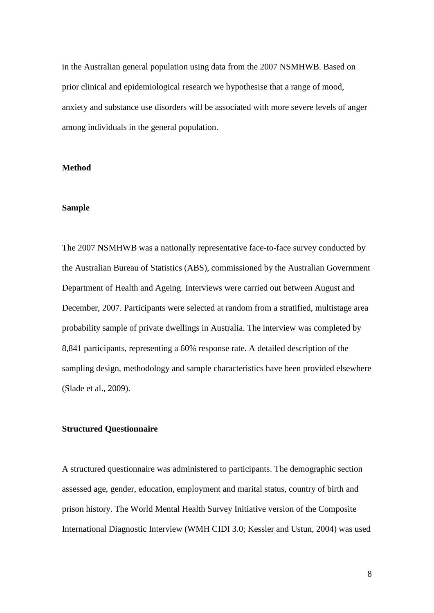in the Australian general population using data from the 2007 NSMHWB. Based on prior clinical and epidemiological research we hypothesise that a range of mood, anxiety and substance use disorders will be associated with more severe levels of anger among individuals in the general population.

# **Method**

# **Sample**

The 2007 NSMHWB was a nationally representative face-to-face survey conducted by the Australian Bureau of Statistics (ABS), commissioned by the Australian Government Department of Health and Ageing. Interviews were carried out between August and December, 2007. Participants were selected at random from a stratified, multistage area probability sample of private dwellings in Australia. The interview was completed by 8,841 participants, representing a 60% response rate. A detailed description of the sampling design, methodology and sample characteristics have been provided elsewhere (Slade et al., 2009).

### **Structured Questionnaire**

A structured questionnaire was administered to participants. The demographic section assessed age, gender, education, employment and marital status, country of birth and prison history. The World Mental Health Survey Initiative version of the Composite International Diagnostic Interview (WMH CIDI 3.0; Kessler and Ustun, 2004) was used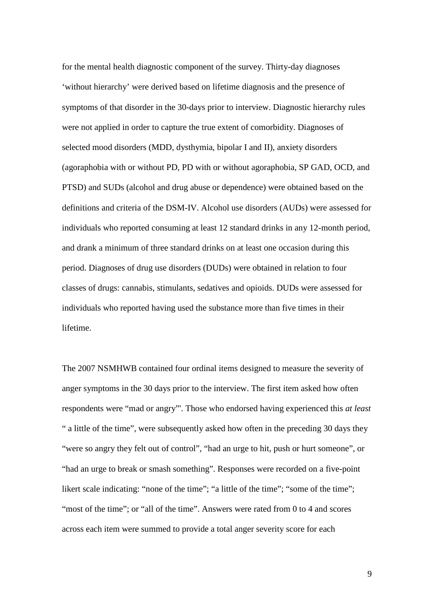for the mental health diagnostic component of the survey. Thirty-day diagnoses 'without hierarchy' were derived based on lifetime diagnosis and the presence of symptoms of that disorder in the 30-days prior to interview. Diagnostic hierarchy rules were not applied in order to capture the true extent of comorbidity. Diagnoses of selected mood disorders (MDD, dysthymia, bipolar I and II), anxiety disorders (agoraphobia with or without PD, PD with or without agoraphobia, SP GAD, OCD, and PTSD) and SUDs (alcohol and drug abuse or dependence) were obtained based on the definitions and criteria of the DSM-IV. Alcohol use disorders (AUDs) were assessed for individuals who reported consuming at least 12 standard drinks in any 12-month period, and drank a minimum of three standard drinks on at least one occasion during this period. Diagnoses of drug use disorders (DUDs) were obtained in relation to four classes of drugs: cannabis, stimulants, sedatives and opioids. DUDs were assessed for individuals who reported having used the substance more than five times in their lifetime.

The 2007 NSMHWB contained four ordinal items designed to measure the severity of anger symptoms in the 30 days prior to the interview. The first item asked how often respondents were "mad or angry"'. Those who endorsed having experienced this *at least*  " a little of the time", were subsequently asked how often in the preceding 30 days they "were so angry they felt out of control", "had an urge to hit, push or hurt someone", or "had an urge to break or smash something". Responses were recorded on a five-point likert scale indicating: "none of the time"; "a little of the time"; "some of the time"; "most of the time"; or "all of the time". Answers were rated from 0 to 4 and scores across each item were summed to provide a total anger severity score for each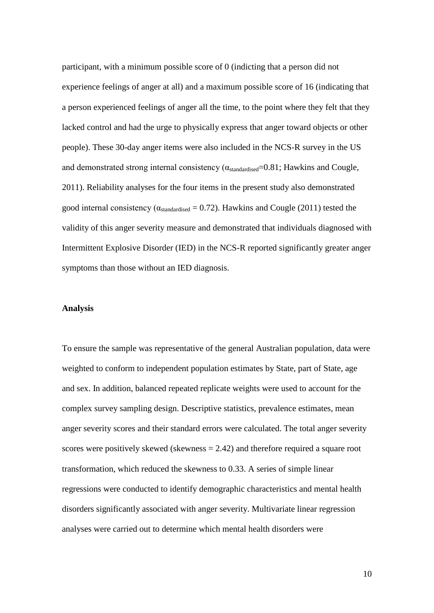participant, with a minimum possible score of 0 (indicting that a person did not experience feelings of anger at all) and a maximum possible score of 16 (indicating that a person experienced feelings of anger all the time, to the point where they felt that they lacked control and had the urge to physically express that anger toward objects or other people). These 30-day anger items were also included in the NCS-R survey in the US and demonstrated strong internal consistency ( $\alpha_{standardised}=0.81$ ; Hawkins and Cougle, 2011). Reliability analyses for the four items in the present study also demonstrated good internal consistency ( $\alpha_{\text{standardised}} = 0.72$ ). Hawkins and Cougle (2011) tested the validity of this anger severity measure and demonstrated that individuals diagnosed with Intermittent Explosive Disorder (IED) in the NCS-R reported significantly greater anger symptoms than those without an IED diagnosis.

### **Analysis**

To ensure the sample was representative of the general Australian population, data were weighted to conform to independent population estimates by State, part of State, age and sex. In addition, balanced repeated replicate weights were used to account for the complex survey sampling design. Descriptive statistics, prevalence estimates, mean anger severity scores and their standard errors were calculated. The total anger severity scores were positively skewed (skewness = 2.42) and therefore required a square root transformation, which reduced the skewness to 0.33. A series of simple linear regressions were conducted to identify demographic characteristics and mental health disorders significantly associated with anger severity. Multivariate linear regression analyses were carried out to determine which mental health disorders were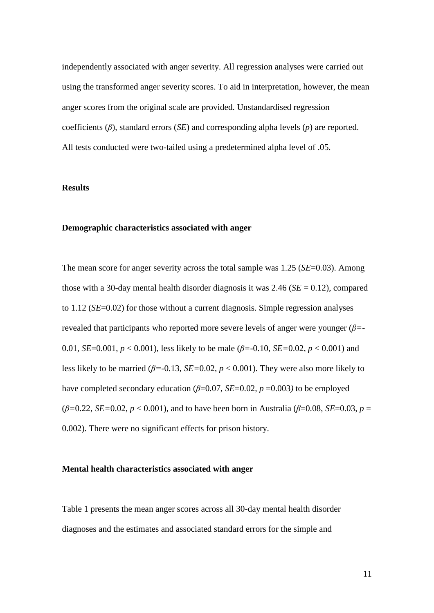independently associated with anger severity. All regression analyses were carried out using the transformed anger severity scores. To aid in interpretation, however, the mean anger scores from the original scale are provided. Unstandardised regression coefficients (*β*), standard errors (*SE*) and corresponding alpha levels (*p*) are reported. All tests conducted were two-tailed using a predetermined alpha level of .05.

# **Results**

### **Demographic characteristics associated with anger**

The mean score for anger severity across the total sample was 1.25 (*SE*=0.03). Among those with a 30-day mental health disorder diagnosis it was  $2.46$  ( $SE = 0.12$ ), compared to 1.12 (*SE*=0.02) for those without a current diagnosis. Simple regression analyses revealed that participants who reported more severe levels of anger were younger (*β=*- 0.01, *SE*=0.001, *p* < 0.001), less likely to be male (*β=*-0.10, *SE=*0.02, *p* < 0.001) and less likely to be married (*β=*-0.13, *SE=*0.02, *p* < 0.001). They were also more likely to have completed secondary education ( $\beta$ =0.07*, SE*=0.02*, p* =0.003*)* to be employed  $(\beta = 0.22, SE = 0.02, p < 0.001)$ , and to have been born in Australia ( $\beta = 0.08$ , *SE*=0.03, *p* = 0.002). There were no significant effects for prison history.

### **Mental health characteristics associated with anger**

Table 1 presents the mean anger scores across all 30-day mental health disorder diagnoses and the estimates and associated standard errors for the simple and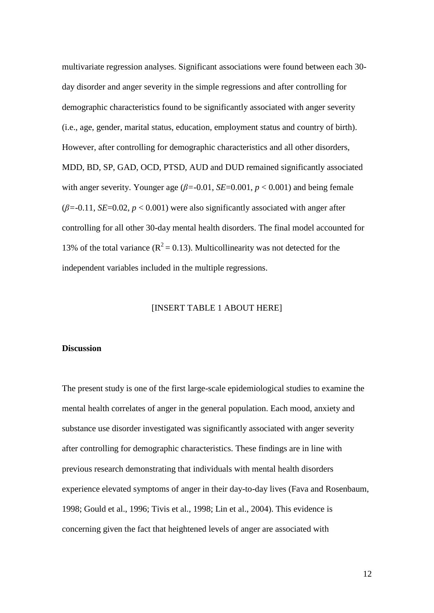multivariate regression analyses. Significant associations were found between each 30 day disorder and anger severity in the simple regressions and after controlling for demographic characteristics found to be significantly associated with anger severity (i.e., age, gender, marital status, education, employment status and country of birth). However, after controlling for demographic characteristics and all other disorders, MDD, BD, SP, GAD, OCD, PTSD, AUD and DUD remained significantly associated with anger severity. Younger age  $(\beta = 0.01, SE = 0.001, p < 0.001)$  and being female  $(\beta = -0.11, SE = 0.02, p < 0.001)$  were also significantly associated with anger after controlling for all other 30-day mental health disorders. The final model accounted for 13% of the total variance ( $R^2 = 0.13$ ). Multicollinearity was not detected for the independent variables included in the multiple regressions.

# [INSERT TABLE 1 ABOUT HERE]

# **Discussion**

The present study is one of the first large-scale epidemiological studies to examine the mental health correlates of anger in the general population. Each mood, anxiety and substance use disorder investigated was significantly associated with anger severity after controlling for demographic characteristics. These findings are in line with previous research demonstrating that individuals with mental health disorders experience elevated symptoms of anger in their day-to-day lives (Fava and Rosenbaum, 1998; Gould et al., 1996; Tivis et al., 1998; Lin et al., 2004). This evidence is concerning given the fact that heightened levels of anger are associated with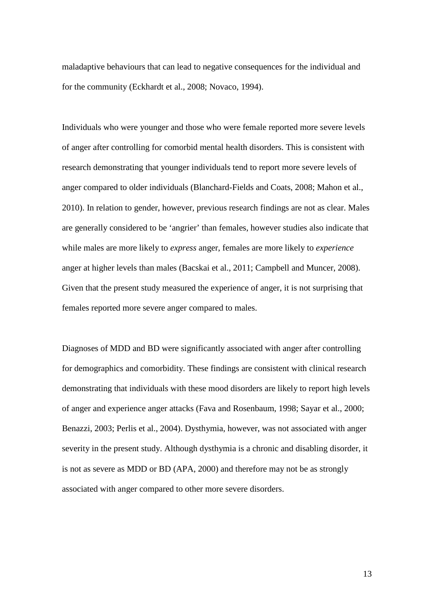maladaptive behaviours that can lead to negative consequences for the individual and for the community (Eckhardt et al., 2008; Novaco, 1994).

Individuals who were younger and those who were female reported more severe levels of anger after controlling for comorbid mental health disorders. This is consistent with research demonstrating that younger individuals tend to report more severe levels of anger compared to older individuals (Blanchard-Fields and Coats, 2008; Mahon et al., 2010). In relation to gender, however, previous research findings are not as clear. Males are generally considered to be 'angrier' than females, however studies also indicate that while males are more likely to *express* anger, females are more likely to *experience*  anger at higher levels than males (Bacskai et al., 2011; Campbell and Muncer, 2008). Given that the present study measured the experience of anger, it is not surprising that females reported more severe anger compared to males.

Diagnoses of MDD and BD were significantly associated with anger after controlling for demographics and comorbidity. These findings are consistent with clinical research demonstrating that individuals with these mood disorders are likely to report high levels of anger and experience anger attacks (Fava and Rosenbaum, 1998; Sayar et al., 2000; Benazzi, 2003; Perlis et al., 2004). Dysthymia, however, was not associated with anger severity in the present study. Although dysthymia is a chronic and disabling disorder, it is not as severe as MDD or BD (APA, 2000) and therefore may not be as strongly associated with anger compared to other more severe disorders.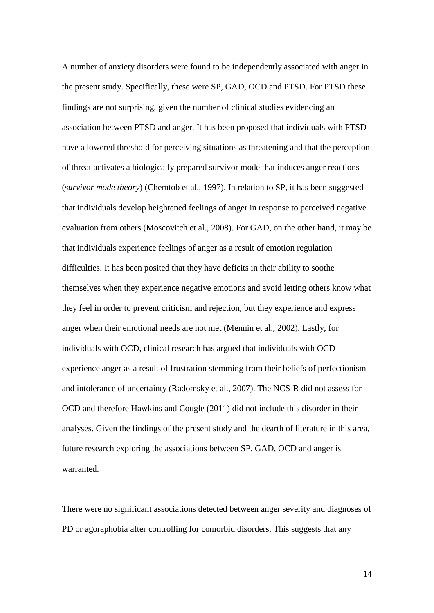A number of anxiety disorders were found to be independently associated with anger in the present study. Specifically, these were SP, GAD, OCD and PTSD. For PTSD these findings are not surprising, given the number of clinical studies evidencing an association between PTSD and anger. It has been proposed that individuals with PTSD have a lowered threshold for perceiving situations as threatening and that the perception of threat activates a biologically prepared survivor mode that induces anger reactions (*survivor mode theory*) (Chemtob et al., 1997). In relation to SP, it has been suggested that individuals develop heightened feelings of anger in response to perceived negative evaluation from others (Moscovitch et al., 2008). For GAD, on the other hand, it may be that individuals experience feelings of anger as a result of emotion regulation difficulties. It has been posited that they have deficits in their ability to soothe themselves when they experience negative emotions and avoid letting others know what they feel in order to prevent criticism and rejection, but they experience and express anger when their emotional needs are not met (Mennin et al., 2002). Lastly, for individuals with OCD, clinical research has argued that individuals with OCD experience anger as a result of frustration stemming from their beliefs of perfectionism and intolerance of uncertainty (Radomsky et al., 2007). The NCS-R did not assess for OCD and therefore Hawkins and Cougle (2011) did not include this disorder in their analyses. Given the findings of the present study and the dearth of literature in this area, future research exploring the associations between SP, GAD, OCD and anger is warranted.

There were no significant associations detected between anger severity and diagnoses of PD or agoraphobia after controlling for comorbid disorders. This suggests that any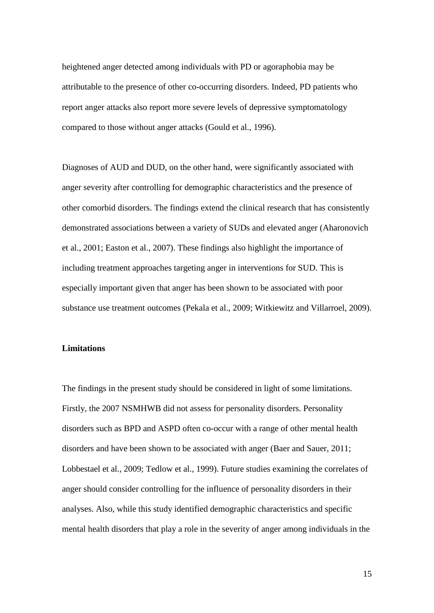heightened anger detected among individuals with PD or agoraphobia may be attributable to the presence of other co-occurring disorders. Indeed, PD patients who report anger attacks also report more severe levels of depressive symptomatology compared to those without anger attacks (Gould et al., 1996).

Diagnoses of AUD and DUD, on the other hand, were significantly associated with anger severity after controlling for demographic characteristics and the presence of other comorbid disorders. The findings extend the clinical research that has consistently demonstrated associations between a variety of SUDs and elevated anger (Aharonovich et al., 2001; Easton et al., 2007). These findings also highlight the importance of including treatment approaches targeting anger in interventions for SUD. This is especially important given that anger has been shown to be associated with poor substance use treatment outcomes (Pekala et al., 2009; Witkiewitz and Villarroel, 2009).

# **Limitations**

The findings in the present study should be considered in light of some limitations. Firstly, the 2007 NSMHWB did not assess for personality disorders. Personality disorders such as BPD and ASPD often co-occur with a range of other mental health disorders and have been shown to be associated with anger (Baer and Sauer, 2011; Lobbestael et al., 2009; Tedlow et al., 1999). Future studies examining the correlates of anger should consider controlling for the influence of personality disorders in their analyses. Also, while this study identified demographic characteristics and specific mental health disorders that play a role in the severity of anger among individuals in the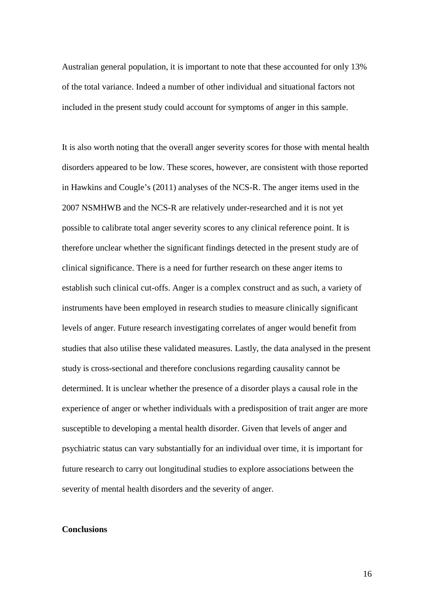Australian general population, it is important to note that these accounted for only 13% of the total variance. Indeed a number of other individual and situational factors not included in the present study could account for symptoms of anger in this sample.

It is also worth noting that the overall anger severity scores for those with mental health disorders appeared to be low. These scores, however, are consistent with those reported in Hawkins and Cougle's (2011) analyses of the NCS-R. The anger items used in the 2007 NSMHWB and the NCS-R are relatively under-researched and it is not yet possible to calibrate total anger severity scores to any clinical reference point. It is therefore unclear whether the significant findings detected in the present study are of clinical significance. There is a need for further research on these anger items to establish such clinical cut-offs. Anger is a complex construct and as such, a variety of instruments have been employed in research studies to measure clinically significant levels of anger. Future research investigating correlates of anger would benefit from studies that also utilise these validated measures. Lastly, the data analysed in the present study is cross-sectional and therefore conclusions regarding causality cannot be determined. It is unclear whether the presence of a disorder plays a causal role in the experience of anger or whether individuals with a predisposition of trait anger are more susceptible to developing a mental health disorder. Given that levels of anger and psychiatric status can vary substantially for an individual over time, it is important for future research to carry out longitudinal studies to explore associations between the severity of mental health disorders and the severity of anger.

## **Conclusions**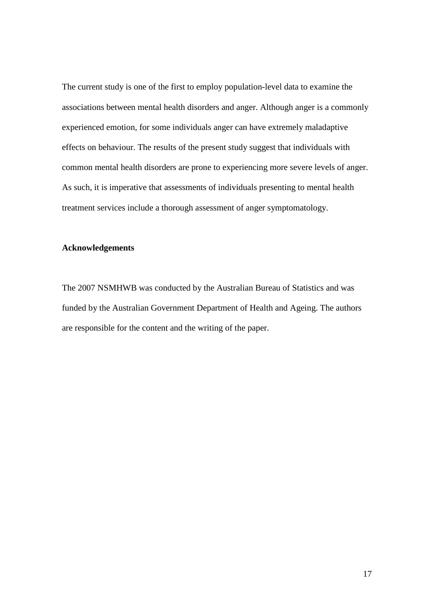The current study is one of the first to employ population-level data to examine the associations between mental health disorders and anger. Although anger is a commonly experienced emotion, for some individuals anger can have extremely maladaptive effects on behaviour. The results of the present study suggest that individuals with common mental health disorders are prone to experiencing more severe levels of anger. As such, it is imperative that assessments of individuals presenting to mental health treatment services include a thorough assessment of anger symptomatology.

# **Acknowledgements**

The 2007 NSMHWB was conducted by the Australian Bureau of Statistics and was funded by the Australian Government Department of Health and Ageing. The authors are responsible for the content and the writing of the paper.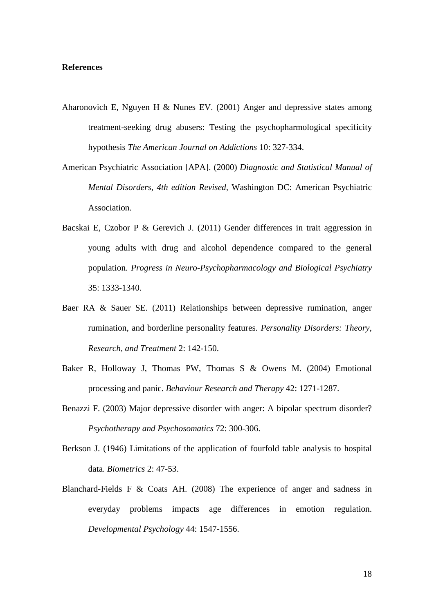# **References**

- Aharonovich E, Nguyen H & Nunes EV. (2001) Anger and depressive states among treatment-seeking drug abusers: Testing the psychopharmological specificity hypothesis *The American Journal on Addictions* 10: 327-334.
- American Psychiatric Association [APA]. (2000) *Diagnostic and Statistical Manual of Mental Disorders, 4th edition Revised,* Washington DC: American Psychiatric Association.
- Bacskai E, Czobor P & Gerevich J. (2011) Gender differences in trait aggression in young adults with drug and alcohol dependence compared to the general population. *Progress in Neuro-Psychopharmacology and Biological Psychiatry* 35: 1333-1340.
- Baer RA & Sauer SE. (2011) Relationships between depressive rumination, anger rumination, and borderline personality features. *Personality Disorders: Theory, Research, and Treatment* 2: 142-150.
- Baker R, Holloway J, Thomas PW, Thomas S & Owens M. (2004) Emotional processing and panic. *Behaviour Research and Therapy* 42: 1271-1287.
- Benazzi F. (2003) Major depressive disorder with anger: A bipolar spectrum disorder? *Psychotherapy and Psychosomatics* 72: 300-306.
- Berkson J. (1946) Limitations of the application of fourfold table analysis to hospital data. *Biometrics* 2: 47-53.
- Blanchard-Fields F & Coats AH. (2008) The experience of anger and sadness in everyday problems impacts age differences in emotion regulation. *Developmental Psychology* 44: 1547-1556.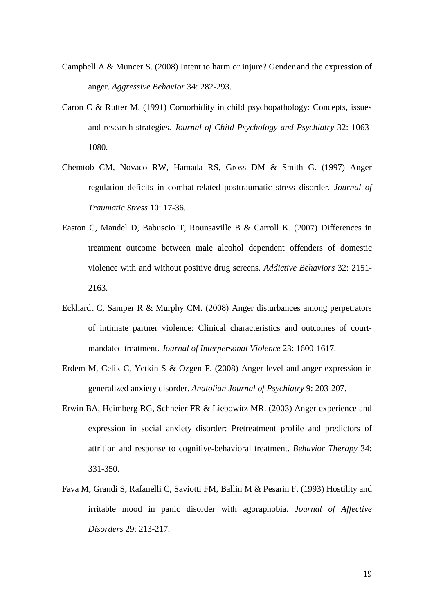- Campbell A & Muncer S. (2008) Intent to harm or injure? Gender and the expression of anger. *Aggressive Behavior* 34: 282-293.
- Caron C & Rutter M. (1991) Comorbidity in child psychopathology: Concepts, issues and research strategies. *Journal of Child Psychology and Psychiatry* 32: 1063- 1080.
- Chemtob CM, Novaco RW, Hamada RS, Gross DM & Smith G. (1997) Anger regulation deficits in combat-related posttraumatic stress disorder. *Journal of Traumatic Stress* 10: 17-36.
- Easton C, Mandel D, Babuscio T, Rounsaville B & Carroll K. (2007) Differences in treatment outcome between male alcohol dependent offenders of domestic violence with and without positive drug screens. *Addictive Behaviors* 32: 2151- 2163.
- Eckhardt C, Samper R & Murphy CM. (2008) Anger disturbances among perpetrators of intimate partner violence: Clinical characteristics and outcomes of courtmandated treatment. *Journal of Interpersonal Violence* 23: 1600-1617.
- Erdem M, Celik C, Yetkin S & Ozgen F. (2008) Anger level and anger expression in generalized anxiety disorder. *Anatolian Journal of Psychiatry* 9: 203-207.
- Erwin BA, Heimberg RG, Schneier FR & Liebowitz MR. (2003) Anger experience and expression in social anxiety disorder: Pretreatment profile and predictors of attrition and response to cognitive-behavioral treatment. *Behavior Therapy* 34: 331-350.
- Fava M, Grandi S, Rafanelli C, Saviotti FM, Ballin M & Pesarin F. (1993) Hostility and irritable mood in panic disorder with agoraphobia. *Journal of Affective Disorders* 29: 213-217.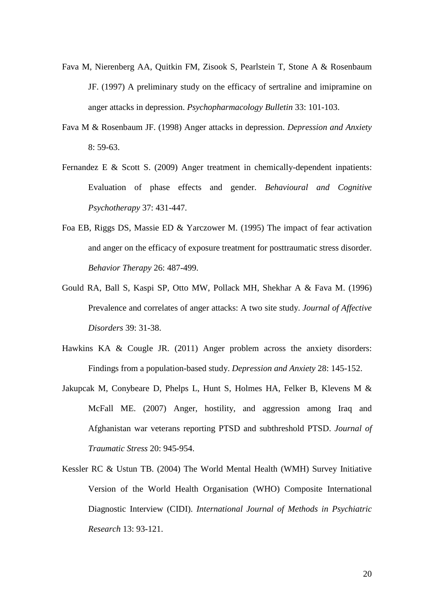- Fava M, Nierenberg AA, Quitkin FM, Zisook S, Pearlstein T, Stone A & Rosenbaum JF. (1997) A preliminary study on the efficacy of sertraline and imipramine on anger attacks in depression. *Psychopharmacology Bulletin* 33: 101-103.
- Fava M & Rosenbaum JF. (1998) Anger attacks in depression. *Depression and Anxiety* 8: 59-63.
- Fernandez E & Scott S. (2009) Anger treatment in chemically-dependent inpatients: Evaluation of phase effects and gender. *Behavioural and Cognitive Psychotherapy* 37: 431-447.
- Foa EB, Riggs DS, Massie ED & Yarczower M. (1995) The impact of fear activation and anger on the efficacy of exposure treatment for posttraumatic stress disorder. *Behavior Therapy* 26: 487-499.
- Gould RA, Ball S, Kaspi SP, Otto MW, Pollack MH, Shekhar A & Fava M. (1996) Prevalence and correlates of anger attacks: A two site study. *Journal of Affective Disorders* 39: 31-38.
- Hawkins KA & Cougle JR. (2011) Anger problem across the anxiety disorders: Findings from a population-based study. *Depression and Anxiety* 28: 145-152.
- Jakupcak M, Conybeare D, Phelps L, Hunt S, Holmes HA, Felker B, Klevens M & McFall ME. (2007) Anger, hostility, and aggression among Iraq and Afghanistan war veterans reporting PTSD and subthreshold PTSD. *Journal of Traumatic Stress* 20: 945-954.
- Kessler RC & Ustun TB. (2004) The World Mental Health (WMH) Survey Initiative Version of the World Health Organisation (WHO) Composite International Diagnostic Interview (CIDI). *International Journal of Methods in Psychiatric Research* 13: 93-121.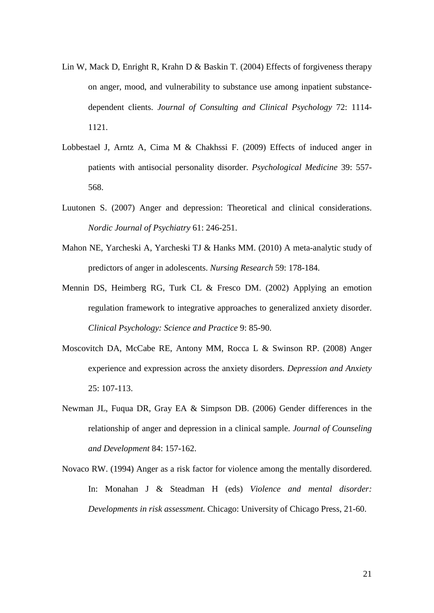- Lin W, Mack D, Enright R, Krahn D & Baskin T. (2004) Effects of forgiveness therapy on anger, mood, and vulnerability to substance use among inpatient substancedependent clients. *Journal of Consulting and Clinical Psychology* 72: 1114- 1121.
- Lobbestael J, Arntz A, Cima M & Chakhssi F. (2009) Effects of induced anger in patients with antisocial personality disorder. *Psychological Medicine* 39: 557- 568.
- Luutonen S. (2007) Anger and depression: Theoretical and clinical considerations. *Nordic Journal of Psychiatry* 61: 246-251.
- Mahon NE, Yarcheski A, Yarcheski TJ & Hanks MM. (2010) A meta-analytic study of predictors of anger in adolescents. *Nursing Research* 59: 178-184.
- Mennin DS, Heimberg RG, Turk CL & Fresco DM. (2002) Applying an emotion regulation framework to integrative approaches to generalized anxiety disorder. *Clinical Psychology: Science and Practice* 9: 85-90.
- Moscovitch DA, McCabe RE, Antony MM, Rocca L & Swinson RP. (2008) Anger experience and expression across the anxiety disorders. *Depression and Anxiety* 25: 107-113.
- Newman JL, Fuqua DR, Gray EA & Simpson DB. (2006) Gender differences in the relationship of anger and depression in a clinical sample. *Journal of Counseling and Development* 84: 157-162.
- Novaco RW. (1994) Anger as a risk factor for violence among the mentally disordered. In: Monahan J & Steadman H (eds) *Violence and mental disorder: Developments in risk assessment.* Chicago: University of Chicago Press, 21-60.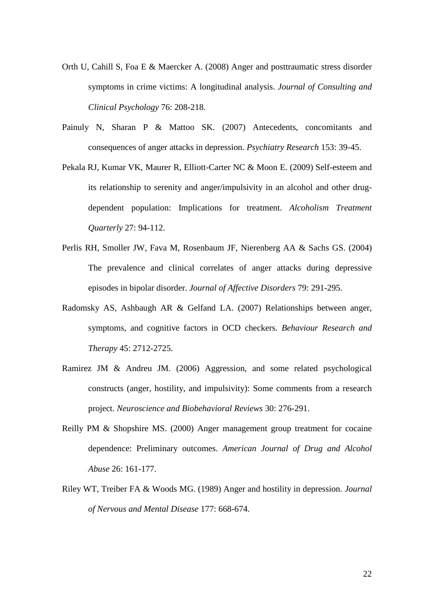- Orth U, Cahill S, Foa E & Maercker A. (2008) Anger and posttraumatic stress disorder symptoms in crime victims: A longitudinal analysis. *Journal of Consulting and Clinical Psychology* 76: 208-218.
- Painuly N, Sharan P & Mattoo SK. (2007) Antecedents, concomitants and consequences of anger attacks in depression. *Psychiatry Research* 153: 39-45.
- Pekala RJ, Kumar VK, Maurer R, Elliott-Carter NC & Moon E. (2009) Self-esteem and its relationship to serenity and anger/impulsivity in an alcohol and other drugdependent population: Implications for treatment. *Alcoholism Treatment Quarterly* 27: 94-112.
- Perlis RH, Smoller JW, Fava M, Rosenbaum JF, Nierenberg AA & Sachs GS. (2004) The prevalence and clinical correlates of anger attacks during depressive episodes in bipolar disorder. *Journal of Affective Disorders* 79: 291-295.
- Radomsky AS, Ashbaugh AR & Gelfand LA. (2007) Relationships between anger, symptoms, and cognitive factors in OCD checkers. *Behaviour Research and Therapy* 45: 2712-2725.
- Ramirez JM & Andreu JM. (2006) Aggression, and some related psychological constructs (anger, hostility, and impulsivity): Some comments from a research project. *Neuroscience and Biobehavioral Reviews* 30: 276-291.
- Reilly PM & Shopshire MS. (2000) Anger management group treatment for cocaine dependence: Preliminary outcomes. *American Journal of Drug and Alcohol Abuse* 26: 161-177.
- Riley WT, Treiber FA & Woods MG. (1989) Anger and hostility in depression. *Journal of Nervous and Mental Disease* 177: 668-674.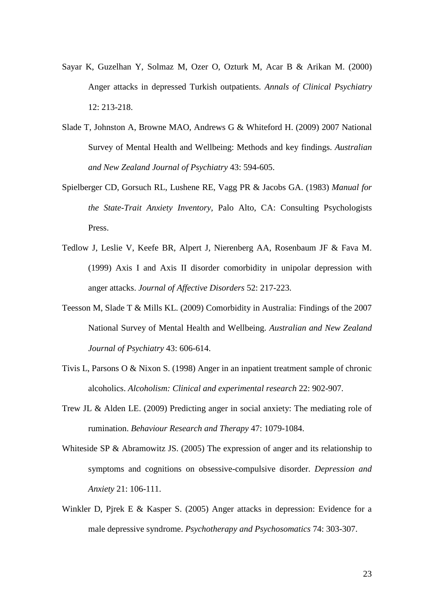- Sayar K, Guzelhan Y, Solmaz M, Ozer O, Ozturk M, Acar B & Arikan M. (2000) Anger attacks in depressed Turkish outpatients. *Annals of Clinical Psychiatry* 12: 213-218.
- Slade T, Johnston A, Browne MAO, Andrews G & Whiteford H. (2009) 2007 National Survey of Mental Health and Wellbeing: Methods and key findings. *Australian and New Zealand Journal of Psychiatry* 43: 594-605.
- Spielberger CD, Gorsuch RL, Lushene RE, Vagg PR & Jacobs GA. (1983) *Manual for the State-Trait Anxiety Inventory,* Palo Alto, CA: Consulting Psychologists Press.
- Tedlow J, Leslie V, Keefe BR, Alpert J, Nierenberg AA, Rosenbaum JF & Fava M. (1999) Axis I and Axis II disorder comorbidity in unipolar depression with anger attacks. *Journal of Affective Disorders* 52: 217-223.
- Teesson M, Slade T & Mills KL. (2009) Comorbidity in Australia: Findings of the 2007 National Survey of Mental Health and Wellbeing. *Australian and New Zealand Journal of Psychiatry* 43: 606-614.
- Tivis L, Parsons O & Nixon S. (1998) Anger in an inpatient treatment sample of chronic alcoholics. *Alcoholism: Clinical and experimental research* 22: 902-907.
- Trew JL & Alden LE. (2009) Predicting anger in social anxiety: The mediating role of rumination. *Behaviour Research and Therapy* 47: 1079-1084.
- Whiteside SP & Abramowitz JS. (2005) The expression of anger and its relationship to symptoms and cognitions on obsessive-compulsive disorder. *Depression and Anxiety* 21: 106-111.
- Winkler D, Pjrek E & Kasper S. (2005) Anger attacks in depression: Evidence for a male depressive syndrome. *Psychotherapy and Psychosomatics* 74: 303-307.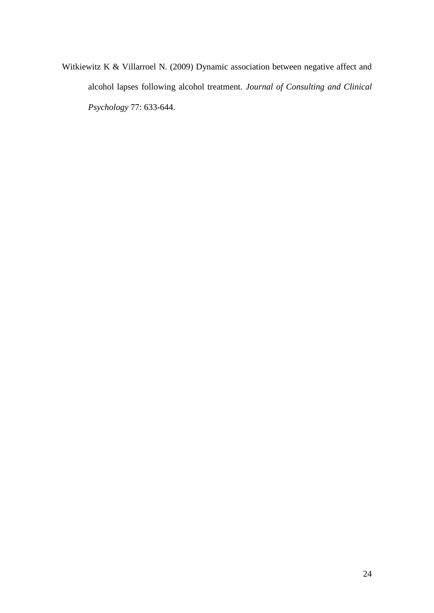Witkiewitz K & Villarroel N. (2009) Dynamic association between negative affect and alcohol lapses following alcohol treatment. *Journal of Consulting and Clinical Psychology* 77: 633-644.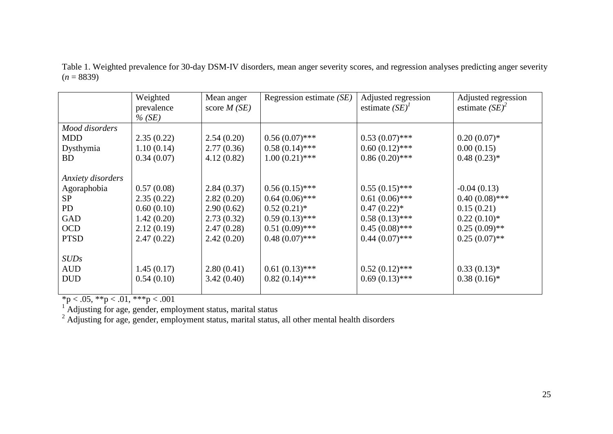|                   | Weighted   | Mean anger    | Regression estimate $(SE)$ | Adjusted regression | Adjusted regression |
|-------------------|------------|---------------|----------------------------|---------------------|---------------------|
|                   | prevalence | score $M(SE)$ |                            | estimate $(SE)^{T}$ | estimate $(SE)^2$   |
|                   | $\%$ (SE)  |               |                            |                     |                     |
| Mood disorders    |            |               |                            |                     |                     |
| <b>MDD</b>        | 2.35(0.22) | 2.54(0.20)    | $0.56(0.07)$ ***           | $0.53(0.07)$ ***    | $0.20(0.07)*$       |
| Dysthymia         | 1.10(0.14) | 2.77(0.36)    | $0.58(0.14)$ ***           | $0.60(0.12)$ ***    | 0.00(0.15)          |
| <b>BD</b>         | 0.34(0.07) | 4.12(0.82)    | $1.00(0.21)$ ***           | $0.86(0.20)$ ***    | $0.48(0.23)*$       |
|                   |            |               |                            |                     |                     |
| Anxiety disorders |            |               |                            |                     |                     |
| Agoraphobia       | 0.57(0.08) | 2.84(0.37)    | $0.56(0.15)$ ***           | $0.55(0.15)$ ***    | $-0.04(0.13)$       |
| <b>SP</b>         | 2.35(0.22) | 2.82(0.20)    | $0.64(0.06)$ ***           | $0.61(0.06)$ ***    | $0.40(0.08)$ ***    |
| <b>PD</b>         | 0.60(0.10) | 2.90(0.62)    | $0.52(0.21)$ *             | $0.47(0.22)$ *      | 0.15(0.21)          |
| <b>GAD</b>        | 1.42(0.20) | 2.73(0.32)    | $0.59(0.13)$ ***           | $0.58(0.13)$ ***    | $0.22(0.10)*$       |
| <b>OCD</b>        | 2.12(0.19) | 2.47(0.28)    | $0.51(0.09)$ ***           | $0.45(0.08)$ ***    | $0.25(0.09)$ **     |
| <b>PTSD</b>       | 2.47(0.22) | 2.42(0.20)    | $0.48(0.07)$ ***           | $0.44(0.07)$ ***    | $0.25(0.07)$ **     |
|                   |            |               |                            |                     |                     |
| <i>SUDs</i>       |            |               |                            |                     |                     |
| <b>AUD</b>        | 1.45(0.17) | 2.80(0.41)    | $0.61(0.13)$ ***           | $0.52(0.12)$ ***    | $0.33(0.13)*$       |
| <b>DUD</b>        | 0.54(0.10) | 3.42(0.40)    | $0.82(0.14)$ ***           | $0.69(0.13)$ ***    | $0.38(0.16)*$       |
|                   |            |               |                            |                     |                     |

Table 1. Weighted prevalence for 30-day DSM-IV disorders, mean anger severity scores, and regression analyses predicting anger severity  $(n = 8839)$ 

 $*p < .05, **p < .01, **p < .001$ 

 $1$  Adjusting for age, gender, employment status, marital status

 $2$  Adjusting for age, gender, employment status, marital status, all other mental health disorders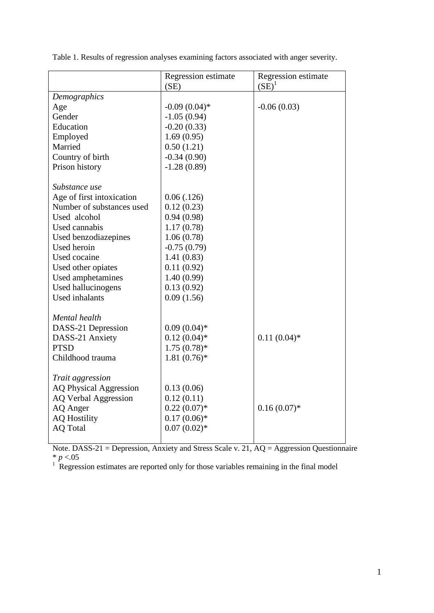|                               | Regression estimate | Regression estimate<br>$(SE)^1$ |
|-------------------------------|---------------------|---------------------------------|
| Demographics                  | (SE)                |                                 |
| Age                           | $-0.09(0.04)$ *     | $-0.06(0.03)$                   |
| Gender                        | $-1.05(0.94)$       |                                 |
| Education                     | $-0.20(0.33)$       |                                 |
|                               | 1.69(0.95)          |                                 |
| Employed<br>Married           | 0.50(1.21)          |                                 |
| Country of birth              | $-0.34(0.90)$       |                                 |
| Prison history                | $-1.28(0.89)$       |                                 |
|                               |                     |                                 |
| Substance use                 |                     |                                 |
| Age of first intoxication     | 0.06(0.126)         |                                 |
| Number of substances used     | 0.12(0.23)          |                                 |
| Used alcohol                  | 0.94(0.98)          |                                 |
| Used cannabis                 | 1.17(0.78)          |                                 |
| Used benzodiazepines          | 1.06(0.78)          |                                 |
| Used heroin                   | $-0.75(0.79)$       |                                 |
| Used cocaine                  | 1.41(0.83)          |                                 |
| Used other opiates            | 0.11(0.92)          |                                 |
| Used amphetamines             | 1.40(0.99)          |                                 |
| Used hallucinogens            | 0.13(0.92)          |                                 |
| <b>Used</b> inhalants         | 0.09(1.56)          |                                 |
|                               |                     |                                 |
| Mental health                 |                     |                                 |
| DASS-21 Depression            | $0.09(0.04)*$       |                                 |
| DASS-21 Anxiety               | $0.12(0.04)$ *      | $0.11(0.04)$ *                  |
| <b>PTSD</b>                   | $1.75(0.78)$ *      |                                 |
| Childhood trauma              | $1.81(0.76)$ *      |                                 |
|                               |                     |                                 |
| Trait aggression              |                     |                                 |
| <b>AQ Physical Aggression</b> | 0.13(0.06)          |                                 |
| <b>AQ Verbal Aggression</b>   | 0.12(0.11)          |                                 |
| AQ Anger                      | $0.22(0.07)$ *      | $0.16(0.07)$ *                  |
| <b>AQ Hostility</b>           | $0.17(0.06)*$       |                                 |
| <b>AQ Total</b>               | $0.07(0.02)*$       |                                 |
|                               |                     |                                 |

Table 1. Results of regression analyses examining factors associated with anger severity.

Note. DASS-21 = Depression, Anxiety and Stress Scale v. 21, AQ = Aggression Questionnaire \* *p* <.05

 $1$  Regression estimates are reported only for those variables remaining in the final model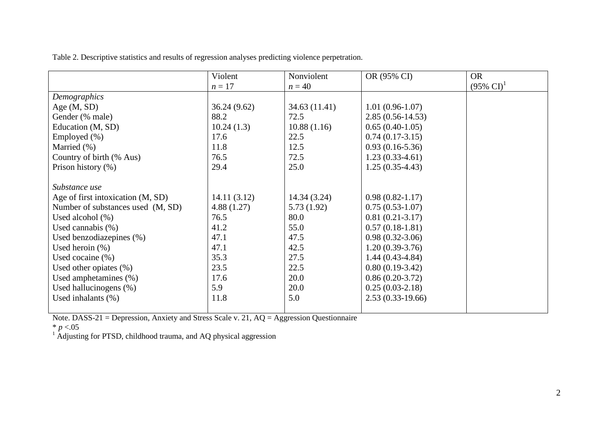| Table 2. Descriptive statistics and results of regression analyses predicting violence perpetration. |  |
|------------------------------------------------------------------------------------------------------|--|
|                                                                                                      |  |

|                                   | Violent     | Nonviolent    | OR (95% CI)         | <b>OR</b>             |
|-----------------------------------|-------------|---------------|---------------------|-----------------------|
|                                   | $n=17$      | $n = 40$      |                     | $(95\% \text{ CI})^1$ |
| Demographics                      |             |               |                     |                       |
| Age $(M, SD)$                     | 36.24(9.62) | 34.63 (11.41) | $1.01(0.96-1.07)$   |                       |
| Gender (% male)                   | 88.2        | 72.5          | $2.85(0.56-14.53)$  |                       |
| Education (M, SD)                 | 10.24(1.3)  | 10.88(1.16)   | $0.65(0.40-1.05)$   |                       |
| Employed (%)                      | 17.6        | 22.5          | $0.74(0.17-3.15)$   |                       |
| Married (%)                       | 11.8        | 12.5          | $0.93(0.16-5.36)$   |                       |
| Country of birth (% Aus)          | 76.5        | 72.5          | $1.23(0.33-4.61)$   |                       |
| Prison history (%)                | 29.4        | 25.0          | $1.25(0.35-4.43)$   |                       |
|                                   |             |               |                     |                       |
| Substance use                     |             |               |                     |                       |
| Age of first intoxication (M, SD) | 14.11(3.12) | 14.34 (3.24)  | $0.98(0.82 - 1.17)$ |                       |
| Number of substances used (M, SD) | 4.88(1.27)  | 5.73(1.92)    | $0.75(0.53-1.07)$   |                       |
| Used alcohol $(\%)$               | 76.5        | 80.0          | $0.81(0.21-3.17)$   |                       |
| Used cannabis $(\%)$              | 41.2        | 55.0          | $0.57(0.18-1.81)$   |                       |
| Used benzodiazepines (%)          | 47.1        | 47.5          | $0.98(0.32-3.06)$   |                       |
| Used heroin $(\%)$                | 47.1        | 42.5          | $1.20(0.39-3.76)$   |                       |
| Used cocaine $(\% )$              | 35.3        | 27.5          | $1.44(0.43-4.84)$   |                       |
| Used other opiates $(\%)$         | 23.5        | 22.5          | $0.80(0.19-3.42)$   |                       |
| Used amphetamines $(\%)$          | 17.6        | 20.0          | $0.86(0.20-3.72)$   |                       |
| Used hallucinogens $(\%)$         | 5.9         | 20.0          | $0.25(0.03-2.18)$   |                       |
| Used inhalants $(\% )$            | 11.8        | 5.0           | $2.53(0.33-19.66)$  |                       |
|                                   |             |               |                     |                       |

Note. DASS-21 = Depression, Anxiety and Stress Scale v. 21, AQ = Aggression Questionnaire

\* *p* <.05

 $1$  Adjusting for PTSD, childhood trauma, and AQ physical aggression